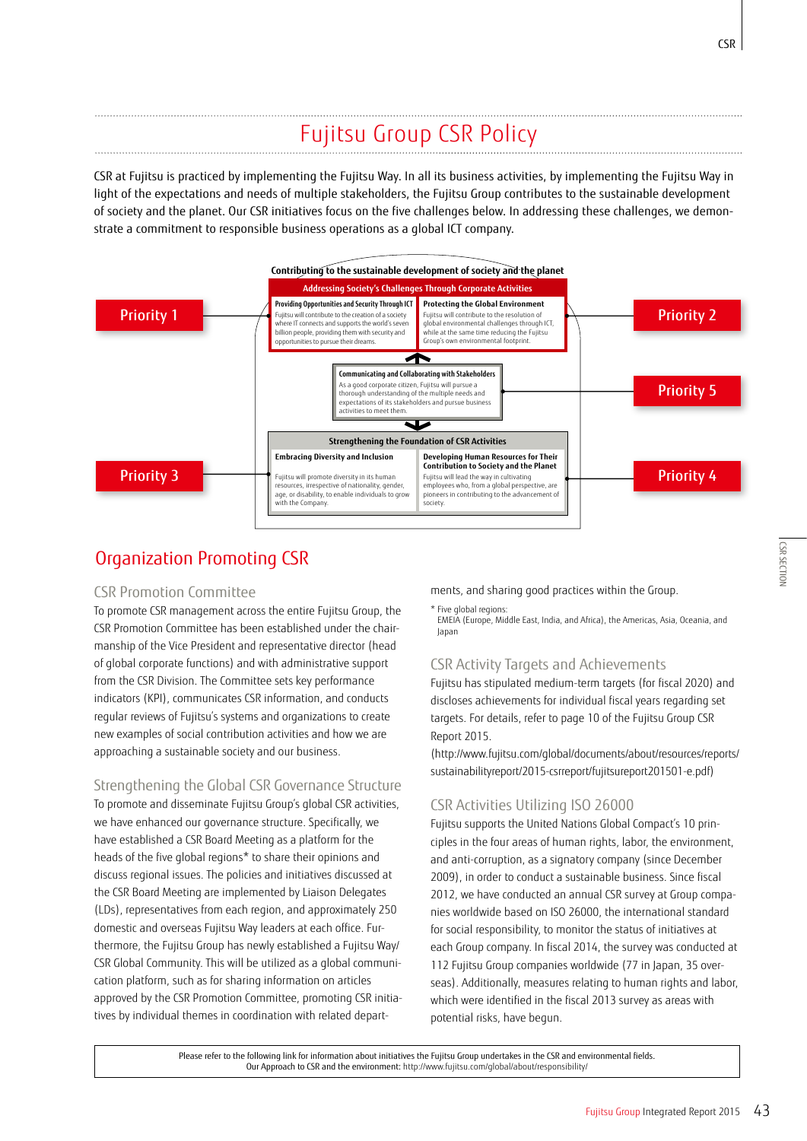# Fujitsu Group CSR Policy

CSR at Fujitsu is practiced by implementing the Fujitsu Way. In all its business activities, by implementing the Fujitsu Way in light of the expectations and needs of multiple stakeholders, the Fujitsu Group contributes to the sustainable development of society and the planet. Our CSR initiatives focus on the five challenges below. In addressing these challenges, we demonstrate a commitment to responsible business operations as a global ICT company.



# Organization Promoting CSR

# CSR Promotion Committee

To promote CSR management across the entire Fujitsu Group, the CSR Promotion Committee has been established under the chairmanship of the Vice President and representative director (head of global corporate functions) and with administrative support from the CSR Division. The Committee sets key performance indicators (KPI), communicates CSR information, and conducts regular reviews of Fujitsu's systems and organizations to create new examples of social contribution activities and how we are approaching a sustainable society and our business.

# Strengthening the Global CSR Governance Structure

To promote and disseminate Fujitsu Group's global CSR activities, we have enhanced our governance structure. Specifically, we have established a CSR Board Meeting as a platform for the heads of the five global regions\* to share their opinions and discuss regional issues. The policies and initiatives discussed at the CSR Board Meeting are implemented by Liaison Delegates (LDs), representatives from each region, and approximately 250 domestic and overseas Fujitsu Way leaders at each office. Furthermore, the Fujitsu Group has newly established a Fujitsu Way/ CSR Global Community. This will be utilized as a global communication platform, such as for sharing information on articles approved by the CSR Promotion Committee, promoting CSR initiatives by individual themes in coordination with related departments, and sharing good practices within the Group.

\* Five global regions:

EMEIA (Europe, Middle East, India, and Africa), the Americas, Asia, Oceania, and Japan

# CSR Activity Targets and Achievements

Fujitsu has stipulated medium-term targets (for fiscal 2020) and discloses achievements for individual fiscal years regarding set targets. For details, refer to page 10 of the Fujitsu Group CSR Report 2015.

(http://www.fujitsu.com/global/documents/about/resources/reports/ sustainabilityreport/2015-csrreport/fujitsureport201501-e.pdf)

# CSR Activities Utilizing ISO 26000

Fujitsu supports the United Nations Global Compact's 10 principles in the four areas of human rights, labor, the environment, and anti-corruption, as a signatory company (since December 2009), in order to conduct a sustainable business. Since fiscal 2012, we have conducted an annual CSR survey at Group companies worldwide based on ISO 26000, the international standard for social responsibility, to monitor the status of initiatives at each Group company. In fiscal 2014, the survey was conducted at 112 Fujitsu Group companies worldwide (77 in Japan, 35 overseas). Additionally, measures relating to human rights and labor, which were identified in the fiscal 2013 survey as areas with potential risks, have begun.

Please refer to the following link for information about initiatives the Fujitsu Group undertakes in the CSR and environmental fields. Our Approach to CSR and the environment: http://www.fujitsu.com/global/about/responsibility/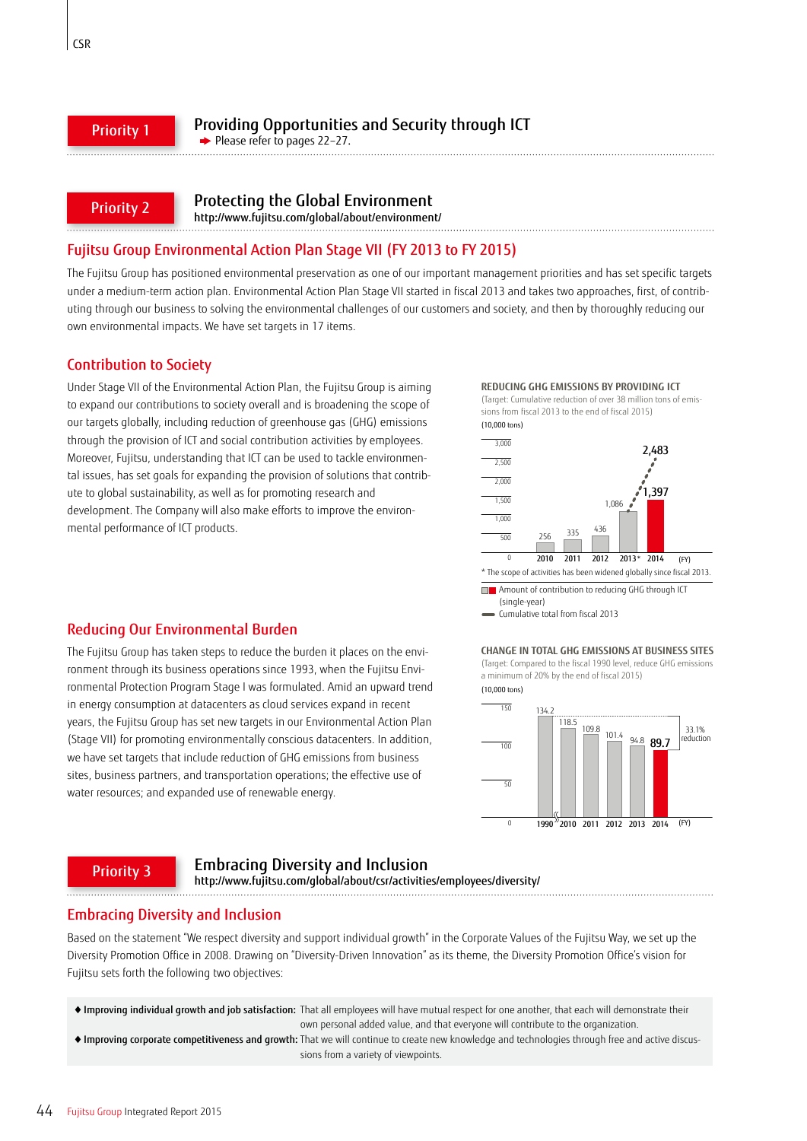#### Priority 1

 $P$ lease refer to pages 22–27.

#### Priority 2

# Protecting the Global Environment

http://www.fujitsu.com/global/about/environment/

# Fujitsu Group Environmental Action Plan Stage VII (FY 2013 to FY 2015)

The Fujitsu Group has positioned environmental preservation as one of our important management priorities and has set specific targets under a medium-term action plan. Environmental Action Plan Stage VII started in fiscal 2013 and takes two approaches, first, of contributing through our business to solving the environmental challenges of our customers and society, and then by thoroughly reducing our own environmental impacts. We have set targets in 17 items.

## Contribution to Society

Under Stage VII of the Environmental Action Plan, the Fujitsu Group is aiming to expand our contributions to society overall and is broadening the scope of our targets globally, including reduction of greenhouse gas (GHG) emissions through the provision of ICT and social contribution activities by employees. Moreover, Fujitsu, understanding that ICT can be used to tackle environmental issues, has set goals for expanding the provision of solutions that contribute to global sustainability, as well as for promoting research and development. The Company will also make efforts to improve the environmental performance of ICT products.

#### **REDUCING GHG EMISSIONS BY PROVIDING ICT**



**Amount of contribution to reducing GHG through ICT** (single-year)

Cumulative total from fiscal 2013

# Reducing Our Environmental Burden

The Fujitsu Group has taken steps to reduce the burden it places on the environment through its business operations since 1993, when the Fujitsu Environmental Protection Program Stage I was formulated. Amid an upward trend in energy consumption at datacenters as cloud services expand in recent years, the Fujitsu Group has set new targets in our Environmental Action Plan (Stage VII) for promoting environmentally conscious datacenters. In addition, we have set targets that include reduction of GHG emissions from business sites, business partners, and transportation operations; the effective use of water resources; and expanded use of renewable energy.





#### Priority 3

# Embracing Diversity and Inclusion

http://www.fujitsu.com/global/about/csr/activities/employees/diversity/ 

# Embracing Diversity and Inclusion

Based on the statement "We respect diversity and support individual growth" in the Corporate Values of the Fujitsu Way, we set up the Diversity Promotion Office in 2008. Drawing on "Diversity-Driven Innovation" as its theme, the Diversity Promotion Office's vision for Fujitsu sets forth the following two objectives:

◆ Improving individual growth and job satisfaction: That all employees will have mutual respect for one another, that each will demonstrate their

own personal added value, and that everyone will contribute to the organization.

◆ Improving corporate competitiveness and growth: That we will continue to create new knowledge and technologies through free and active discussions from a variety of viewpoints.